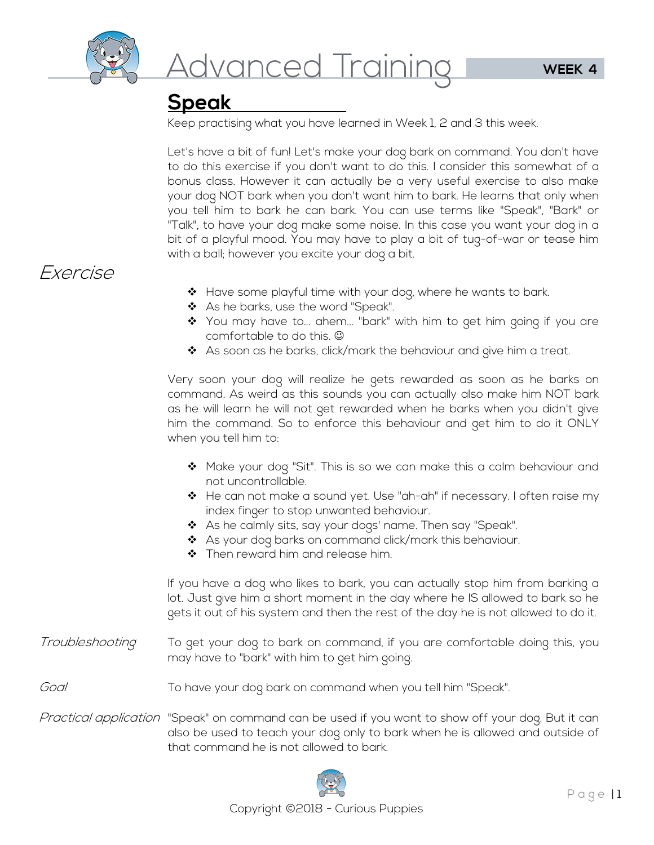

### **Speak**

Keep practising what you have learned in Week 1, 2 and 3 this week.

Let's have a bit of fun! Let's make your dog bark on command. You don't have to do this exercise if you don't want to do this. I consider this somewhat of a bonus class. However it can actually be a very useful exercise to also make your dog NOT bark when you don't want him to bark. He learns that only when you tell him to bark he can bark. You can use terms like "Speak", "Bark" or "Talk", to have your dog make some noise. In this case you want your dog in a bit of a playful mood. You may have to play a bit of tug-of-war or tease him with a ball; however you excite your dog a bit.

### Exercise

- ◆ Have some playful time with your dog, where he wants to bark.
- ◆ As he barks, use the word "Speak".
- ❖ You may have to... ahem... "bark" with him to get him going if you are comfortable to do this.
- ❖ As soon as he barks, click/mark the behaviour and give him a treat.

Very soon your dog will realize he gets rewarded as soon as he barks on command. As weird as this sounds you can actually also make him NOT bark as he will learn he will not get rewarded when he barks when you didn't give him the command. So to enforce this behaviour and get him to do it ONLY when you tell him to:

- $\clubsuit$  Make your dog "Sit". This is so we can make this a calm behaviour and not uncontrollable.
- $\triangleq$  He can not make a sound yet. Use "ah-ah" if necessary. I often raise my index finger to stop unwanted behaviour.
- As he calmly sits, say your dogs' name. Then say "Speak".
- \* As your dog barks on command click/mark this behaviour.
- ❖ Then reward him and release him.

If you have a dog who likes to bark, you can actually stop him from barking a lot. Just give him a short moment in the day where he IS allowed to bark so he gets it out of his system and then the rest of the day he is not allowed to do it.

Troubleshooting To get your dog to bark on command, if you are comfortable doing this, you may have to "bark" with him to get him going.

#### Goal To have your dog bark on command when you tell him "Speak".

Practical application "Speak" on command can be used if you want to show off your dog. But it can also be used to teach your dog only to bark when he is allowed and outside of that command he is not allowed to bark.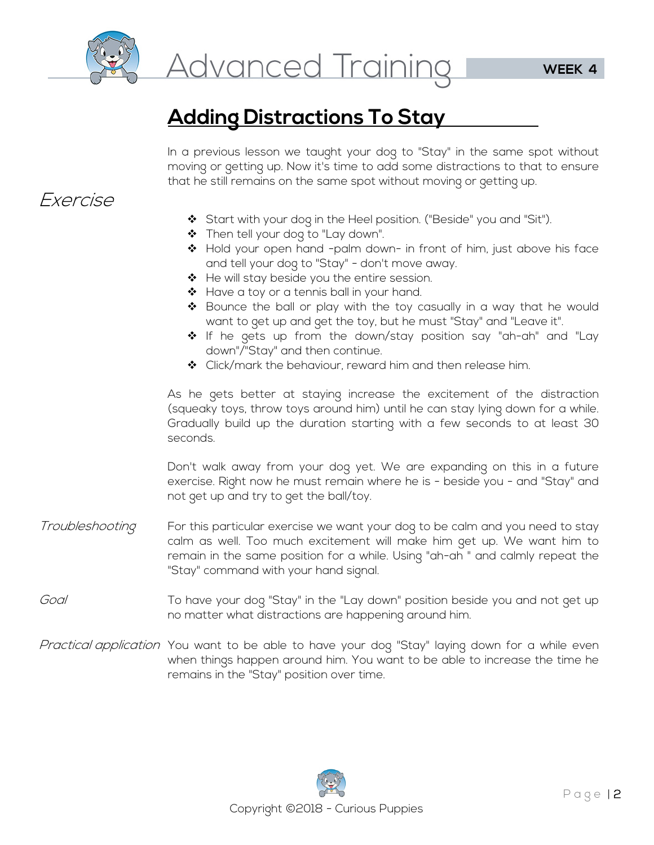

# **Adding Distractions To Stay**

In a previous lesson we taught your dog to "Stay" in the same spot without moving or getting up. Now it's time to add some distractions to that to ensure that he still remains on the same spot without moving or getting up.

#### Exercise

- Start with your dog in the Heel position. ("Beside" you and "Sit").
- \* Then tell your dog to "Lay down".
- $\clubsuit$  Hold your open hand -palm down- in front of him, just above his face and tell your dog to "Stay" - don't move away.
- ◆ He will stay beside you the entire session.
- ❖ Have a toy or a tennis ball in your hand.
- $\div$  Bounce the ball or play with the toy casually in a way that he would want to get up and get the toy, but he must "Stay" and "Leave it".
- If he gets up from the down/stay position say "ah-ah" and "Lay down"/"Stay" and then continue.
- ◆ Click/mark the behaviour, reward him and then release him.

As he gets better at staying increase the excitement of the distraction (squeaky toys, throw toys around him) until he can stay lying down for a while. Gradually build up the duration starting with a few seconds to at least 30 seconds.

Don't walk away from your dog yet. We are expanding on this in a future exercise. Right now he must remain where he is - beside you - and "Stay" and not get up and try to get the ball/toy.

- Troubleshooting For this particular exercise we want your dog to be calm and you need to stay calm as well. Too much excitement will make him get up. We want him to remain in the same position for a while. Using "ah-ah " and calmly repeat the "Stay" command with your hand signal.
- Goal To have your dog "Stay" in the "Lay down" position beside you and not get up no matter what distractions are happening around him.
- Practical application You want to be able to have your dog "Stay" laying down for a while even when things happen around him. You want to be able to increase the time he remains in the "Stay" position over time.